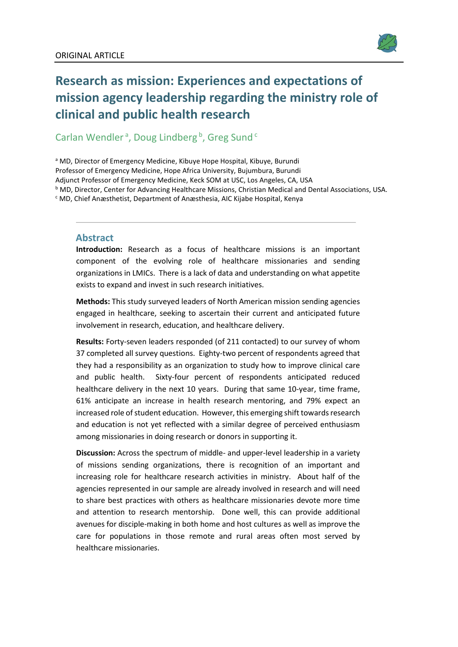

# **Research as mission: Experiences and expectations of mission agency leadership regarding the ministry role of clinical and public health research**

# Carlan Wendler<sup>a</sup>, Doug Lindberg<sup>b</sup>, Greg Sund<sup>c</sup>

a MD, Director of Emergency Medicine, Kibuye Hope Hospital, Kibuye, Burundi Professor of Emergency Medicine, Hope Africa University, Bujumbura, Burundi Adjunct Professor of Emergency Medicine, Keck SOM at USC, Los Angeles, CA, USA  $b$  MD, Director, Center for Advancing Healthcare Missions, Christian Medical and Dental Associations, USA.  $c$  MD, Chief Anæsthetist, Department of Anæsthesia, AIC Kijabe Hospital, Kenya

#### **Abstract**

**Introduction:** Research as a focus of healthcare missions is an important component of the evolving role of healthcare missionaries and sending organizations in LMICs. There is a lack of data and understanding on what appetite exists to expand and invest in such research initiatives.

**Methods:** This study surveyed leaders of North American mission sending agencies engaged in healthcare, seeking to ascertain their current and anticipated future involvement in research, education, and healthcare delivery.

**Results:** Forty-seven leaders responded (of 211 contacted) to our survey of whom 37 completed all survey questions. Eighty-two percent of respondents agreed that they had a responsibility as an organization to study how to improve clinical care and public health. Sixty-four percent of respondents anticipated reduced healthcare delivery in the next 10 years. During that same 10-year, time frame, 61% anticipate an increase in health research mentoring, and 79% expect an increased role of student education. However, this emerging shift towards research and education is not yet reflected with a similar degree of perceived enthusiasm among missionaries in doing research or donors in supporting it.

**Discussion:** Across the spectrum of middle- and upper-level leadership in a variety of missions sending organizations, there is recognition of an important and increasing role for healthcare research activities in ministry. About half of the agencies represented in our sample are already involved in research and will need to share best practices with others as healthcare missionaries devote more time and attention to research mentorship. Done well, this can provide additional avenues for disciple-making in both home and host cultures as well as improve the care for populations in those remote and rural areas often most served by healthcare missionaries.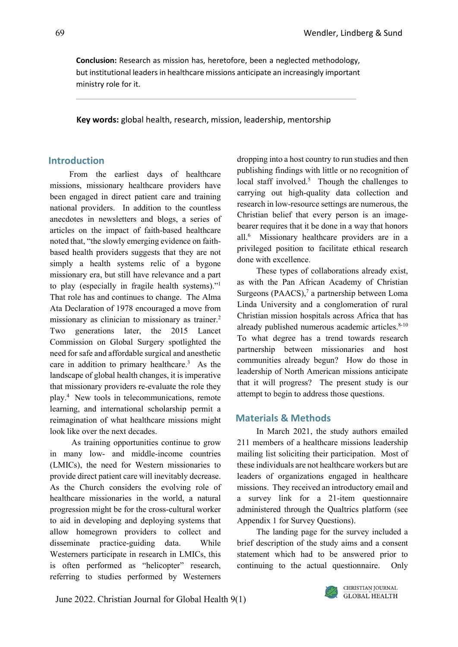**Conclusion:** Research as mission has, heretofore, been a neglected methodology, but institutional leaders in healthcare missions anticipate an increasingly important ministry role for it.

**Key words:** global health, research, mission, leadership, mentorship

# **Introduction**

From the earliest days of healthcare missions, missionary healthcare providers have been engaged in direct patient care and training national providers. In addition to the countless anecdotes in newsletters and blogs, a series of articles on the impact of faith-based healthcare noted that, "the slowly emerging evidence on faithbased health providers suggests that they are not simply a health systems relic of a bygone missionary era, but still have relevance and a part to play (especially in fragile health systems)."1 That role has and continues to change. The Alma Ata Declaration of 1978 encouraged a move from missionary as clinician to missionary as trainer.<sup>2</sup> Two generations later, the 2015 Lancet Commission on Global Surgery spotlighted the need for safe and affordable surgical and anesthetic care in addition to primary healthcare.3 As the landscape of global health changes, it is imperative that missionary providers re-evaluate the role they play.4 New tools in telecommunications, remote learning, and international scholarship permit a reimagination of what healthcare missions might look like over the next decades.

As training opportunities continue to grow in many low- and middle-income countries (LMICs), the need for Western missionaries to provide direct patient care will inevitably decrease. As the Church considers the evolving role of healthcare missionaries in the world, a natural progression might be for the cross-cultural worker to aid in developing and deploying systems that allow homegrown providers to collect and disseminate practice-guiding data. While Westerners participate in research in LMICs, this is often performed as "helicopter" research, referring to studies performed by Westerners

dropping into a host country to run studies and then publishing findings with little or no recognition of local staff involved.<sup>5</sup> Though the challenges to carrying out high-quality data collection and research in low-resource settings are numerous, the Christian belief that every person is an imagebearer requires that it be done in a way that honors all.6 Missionary healthcare providers are in a privileged position to facilitate ethical research done with excellence.

These types of collaborations already exist, as with the Pan African Academy of Christian Surgeons (PAACS), $<sup>7</sup>$  a partnership between Loma</sup> Linda University and a conglomeration of rural Christian mission hospitals across Africa that has already published numerous academic articles. $8-10$ To what degree has a trend towards research partnership between missionaries and host communities already begun? How do those in leadership of North American missions anticipate that it will progress? The present study is our attempt to begin to address those questions.

# **Materials & Methods**

In March 2021, the study authors emailed 211 members of a healthcare missions leadership mailing list soliciting their participation. Most of these individuals are not healthcare workers but are leaders of organizations engaged in healthcare missions. They received an introductory email and a survey link for a 21-item questionnaire administered through the Qualtrics platform (see Appendix 1 for Survey Questions).

The landing page for the survey included a brief description of the study aims and a consent statement which had to be answered prior to continuing to the actual questionnaire. Only

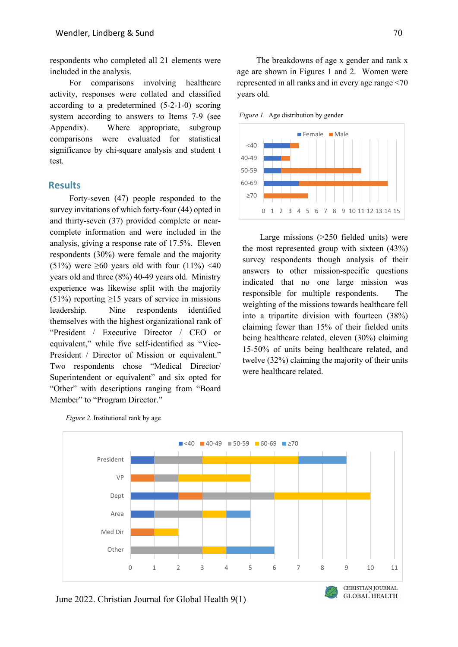respondents who completed all 21 elements were included in the analysis.

For comparisons involving healthcare activity, responses were collated and classified according to a predetermined (5-2-1-0) scoring system according to answers to Items 7-9 (see Appendix). Where appropriate, subgroup comparisons were evaluated for statistical significance by chi-square analysis and student t test.

#### **Results**

Forty-seven (47) people responded to the survey invitations of which forty-four (44) opted in and thirty-seven (37) provided complete or nearcomplete information and were included in the analysis, giving a response rate of 17.5%. Eleven respondents (30%) were female and the majority (51%) were  $\geq 60$  years old with four (11%) <40 years old and three (8%) 40-49 years old. Ministry experience was likewise split with the majority  $(51\%)$  reporting  $\geq 15$  years of service in missions leadership. Nine respondents identified themselves with the highest organizational rank of "President / Executive Director / CEO or equivalent," while five self-identified as "Vice-President / Director of Mission or equivalent." Two respondents chose "Medical Director/ Superintendent or equivalent" and six opted for "Other" with descriptions ranging from "Board Member" to "Program Director."

The breakdowns of age x gender and rank x age are shown in Figures 1 and 2. Women were represented in all ranks and in every age range <70 years old.

*Figure 1.* Age distribution by gender



Large missions (>250 fielded units) were the most represented group with sixteen (43%) survey respondents though analysis of their answers to other mission-specific questions indicated that no one large mission was responsible for multiple respondents. The weighting of the missions towards healthcare fell into a tripartite division with fourteen (38%) claiming fewer than 15% of their fielded units being healthcare related, eleven (30%) claiming 15-50% of units being healthcare related, and twelve (32%) claiming the majority of their units were healthcare related.



*Figure 2*. Institutional rank by age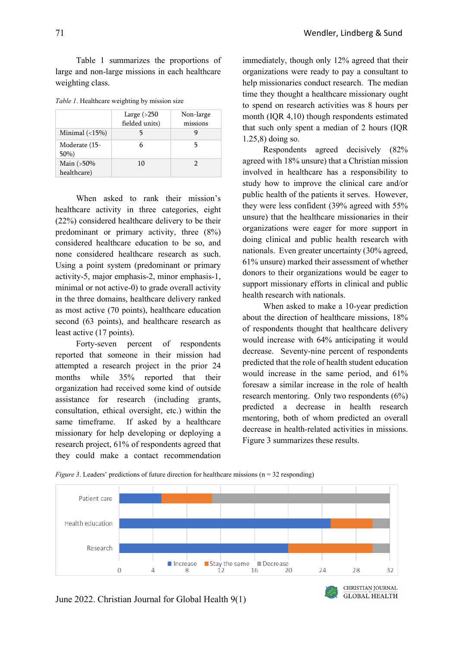Table 1 summarizes the proportions of large and non-large missions in each healthcare weighting class.

|  | Table 1. Healthcare weighting by mission size |  |  |
|--|-----------------------------------------------|--|--|
|  |                                               |  |  |

|                                | Large $(>250$  | Non-large |
|--------------------------------|----------------|-----------|
|                                | fielded units) | missions  |
| Minimal $\left( <15\% \right)$ |                |           |
| Moderate (15-<br>$50\%)$       |                |           |
| Main (>50%<br>healthcare)      | 10             |           |

When asked to rank their mission's healthcare activity in three categories, eight (22%) considered healthcare delivery to be their predominant or primary activity, three (8%) considered healthcare education to be so, and none considered healthcare research as such. Using a point system (predominant or primary activity-5, major emphasis-2, minor emphasis-1, minimal or not active-0) to grade overall activity in the three domains, healthcare delivery ranked as most active (70 points), healthcare education second (63 points), and healthcare research as least active (17 points).

Forty-seven percent of respondents reported that someone in their mission had attempted a research project in the prior 24 months while 35% reported that their organization had received some kind of outside assistance for research (including grants, consultation, ethical oversight, etc.) within the same timeframe. If asked by a healthcare missionary for help developing or deploying a research project, 61% of respondents agreed that they could make a contact recommendation

immediately, though only 12% agreed that their organizations were ready to pay a consultant to help missionaries conduct research. The median time they thought a healthcare missionary ought to spend on research activities was 8 hours per month (IQR 4,10) though respondents estimated that such only spent a median of 2 hours (IQR 1.25,8) doing so.

Respondents agreed decisively (82% agreed with 18% unsure) that a Christian mission involved in healthcare has a responsibility to study how to improve the clinical care and/or public health of the patients it serves. However, they were less confident (39% agreed with 55% unsure) that the healthcare missionaries in their organizations were eager for more support in doing clinical and public health research with nationals. Even greater uncertainty (30% agreed, 61% unsure) marked their assessment of whether donors to their organizations would be eager to support missionary efforts in clinical and public health research with nationals.

When asked to make a 10-year prediction about the direction of healthcare missions, 18% of respondents thought that healthcare delivery would increase with 64% anticipating it would decrease. Seventy-nine percent of respondents predicted that the role of health student education would increase in the same period, and 61% foresaw a similar increase in the role of health research mentoring. Only two respondents (6%) predicted a decrease in health research mentoring, both of whom predicted an overall decrease in health-related activities in missions. Figure 3 summarizes these results.

 $\overline{GLOBAL}$  HEALTH



*Figure 3*. Leaders' predictions of future direction for healthcare missions (n = 32 responding)

June 2022. Christian Journal for Global Health 9(1)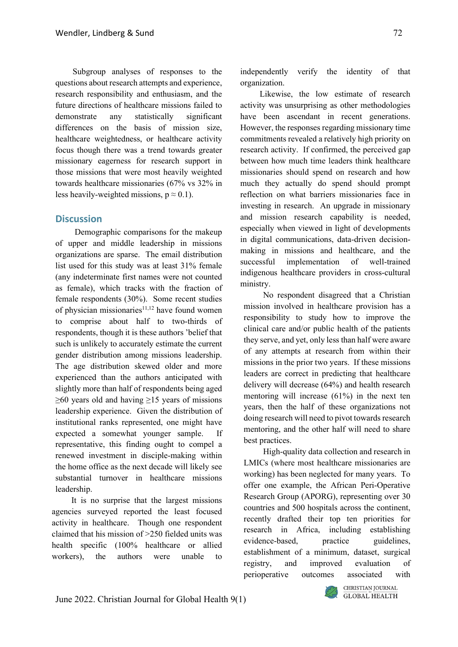Subgroup analyses of responses to the questions about research attempts and experience, research responsibility and enthusiasm, and the future directions of healthcare missions failed to demonstrate any statistically significant differences on the basis of mission size, healthcare weightedness, or healthcare activity focus though there was a trend towards greater missionary eagerness for research support in those missions that were most heavily weighted towards healthcare missionaries (67% vs 32% in less heavily-weighted missions,  $p \approx 0.1$ ).

# **Discussion**

Demographic comparisons for the makeup of upper and middle leadership in missions organizations are sparse. The email distribution list used for this study was at least 31% female (any indeterminate first names were not counted as female), which tracks with the fraction of female respondents (30%). Some recent studies of physician missionaries $11,12$  have found women to comprise about half to two-thirds of respondents, though it is these authors 'belief that such is unlikely to accurately estimate the current gender distribution among missions leadership. The age distribution skewed older and more experienced than the authors anticipated with slightly more than half of respondents being aged  $\geq 60$  years old and having  $\geq 15$  years of missions leadership experience. Given the distribution of institutional ranks represented, one might have expected a somewhat younger sample. If representative, this finding ought to compel a renewed investment in disciple-making within the home office as the next decade will likely see substantial turnover in healthcare missions leadership.

It is no surprise that the largest missions agencies surveyed reported the least focused activity in healthcare. Though one respondent claimed that his mission of >250 fielded units was health specific (100% healthcare or allied workers), the authors were unable to

independently verify the identity of that organization.

Likewise, the low estimate of research activity was unsurprising as other methodologies have been ascendant in recent generations. However, the responses regarding missionary time commitments revealed a relatively high priority on research activity. If confirmed, the perceived gap between how much time leaders think healthcare missionaries should spend on research and how much they actually do spend should prompt reflection on what barriers missionaries face in investing in research. An upgrade in missionary and mission research capability is needed, especially when viewed in light of developments in digital communications, data-driven decisionmaking in missions and healthcare, and the successful implementation of well-trained indigenous healthcare providers in cross-cultural ministry.

No respondent disagreed that a Christian mission involved in healthcare provision has a responsibility to study how to improve the clinical care and/or public health of the patients they serve, and yet, only less than half were aware of any attempts at research from within their missions in the prior two years. If these missions leaders are correct in predicting that healthcare delivery will decrease (64%) and health research mentoring will increase (61%) in the next ten years, then the half of these organizations not doing research will need to pivot towards research mentoring, and the other half will need to share best practices.

High-quality data collection and research in LMICs (where most healthcare missionaries are working) has been neglected for many years. To offer one example, the African Peri-Operative Research Group (APORG), representing over 30 countries and 500 hospitals across the continent, recently drafted their top ten priorities for research in Africa, including establishing evidence-based, practice guidelines, establishment of a minimum, dataset, surgical registry, and improved evaluation of perioperative outcomes associated with

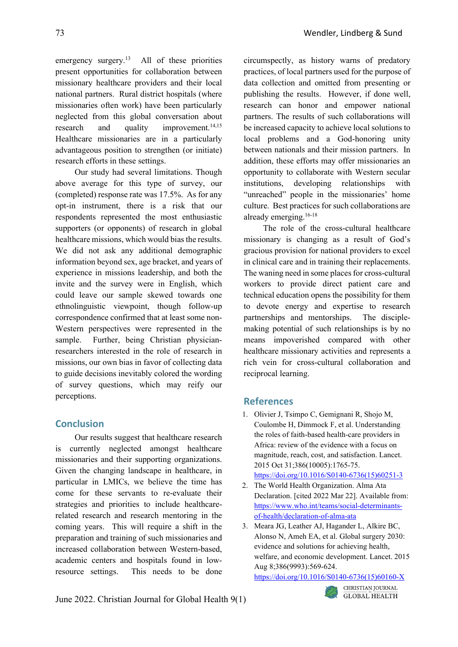emergency surgery.<sup>13</sup> All of these priorities present opportunities for collaboration between missionary healthcare providers and their local national partners. Rural district hospitals (where missionaries often work) have been particularly neglected from this global conversation about research and quality improvement.<sup>14,15</sup> Healthcare missionaries are in a particularly advantageous position to strengthen (or initiate) research efforts in these settings.

Our study had several limitations. Though above average for this type of survey, our (completed) response rate was 17.5%. As for any opt-in instrument, there is a risk that our respondents represented the most enthusiastic supporters (or opponents) of research in global healthcare missions, which would bias the results. We did not ask any additional demographic information beyond sex, age bracket, and years of experience in missions leadership, and both the invite and the survey were in English, which could leave our sample skewed towards one ethnolinguistic viewpoint, though follow-up correspondence confirmed that at least some non-Western perspectives were represented in the sample. Further, being Christian physicianresearchers interested in the role of research in missions, our own bias in favor of collecting data to guide decisions inevitably colored the wording of survey questions, which may reify our perceptions.

# **Conclusion**

Our results suggest that healthcare research is currently neglected amongst healthcare missionaries and their supporting organizations. Given the changing landscape in healthcare, in particular in LMICs, we believe the time has come for these servants to re-evaluate their strategies and priorities to include healthcarerelated research and research mentoring in the coming years. This will require a shift in the preparation and training of such missionaries and increased collaboration between Western-based, academic centers and hospitals found in lowresource settings. This needs to be done

circumspectly, as history warns of predatory practices, of local partners used for the purpose of data collection and omitted from presenting or publishing the results. However, if done well, research can honor and empower national partners. The results of such collaborations will be increased capacity to achieve local solutions to local problems and a God-honoring unity between nationals and their mission partners. In addition, these efforts may offer missionaries an opportunity to collaborate with Western secular institutions, developing relationships with "unreached" people in the missionaries' home culture. Best practices for such collaborations are already emerging.16-18

The role of the cross-cultural healthcare missionary is changing as a result of God's gracious provision for national providers to excel in clinical care and in training their replacements. The waning need in some places for cross-cultural workers to provide direct patient care and technical education opens the possibility for them to devote energy and expertise to research partnerships and mentorships. The disciplemaking potential of such relationships is by no means impoverished compared with other healthcare missionary activities and represents a rich vein for cross-cultural collaboration and reciprocal learning.

# **References**

1. Olivier J, Tsimpo C, Gemignani R, Shojo M, Coulombe H, Dimmock F, et al. Understanding the roles of faith-based health-care providers in Africa: review of the evidence with a focus on magnitude, reach, cost, and satisfaction. Lancet. 2015 Oct 31;386(10005):1765-75.

```
https://doi.org/10.1016/S0140-6736(15)60251-3
```
- 2. The World Health Organization. Alma Ata Declaration. [cited 2022 Mar 22]. Available from: [https://www.who.int/teams/social-determinants](https://www.who.int/teams/social-determinants-of-health/declaration-of-alma-ata)[of-health/declaration-of-alma-ata](https://www.who.int/teams/social-determinants-of-health/declaration-of-alma-ata)
- 3. Meara JG, Leather AJ, Hagander L, Alkire BC, Alonso N, Ameh EA, et al. Global surgery 2030: evidence and solutions for achieving health, welfare, and economic development. Lancet. 2015 Aug 8;386(9993):569-624.

[https://doi.org/10.1016/S0140-6736\(15\)60160-X](https://doi.org/10.1016/S0140-6736(15)60160-X)

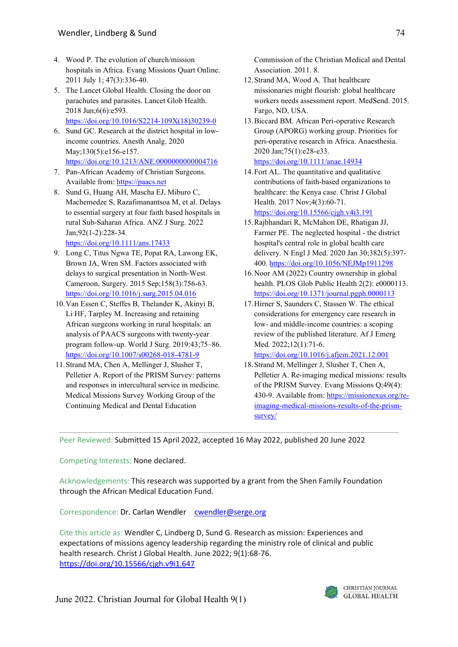- 4. Wood P. The evolution of church/mission hospitals in Africa. Evang Missions Quart Online. 2011 July 1; 47(3):336-40.
- 5. The Lancet Global Health. Closing the door on parachutes and parasites. Lancet Glob Health. 2018 Jun;6(6):e593. [https://doi.org/10.1016/S2214-109X\(18\)30239-0](https://doi.org/10.1016/S2214-109X(18)30239-0)
- 6. Sund GC. Research at the district hospital in lowincome countries. Anesth Analg. 2020 May;130(5):e156-e157. <https://doi.org/10.1213/ANE.0000000000004716>
- 7. Pan-African Academy of Christian Surgeons. Available from[: https://paacs.net](https://paacs.net/)
- 8. Sund G, Huang AH, Mascha EJ, Miburo C, Machemedze S, Razafimanantsoa M, et al. Delays to essential surgery at four faith based hospitals in rural Sub-Saharan Africa. ANZ J Surg. 2022 Jan;92(1-2):228-34. <https://doi.org/10.1111/ans.17433>
- 9. Long C, Titus Ngwa TE, Popat RA, Lawong EK, Brown JA, Wren SM. Factors associated with delays to surgical presentation in North-West Cameroon. Surgery. 2015 Sep;158(3):756-63. <https://doi.org/10.1016/j.surg.2015.04.016>
- 10.Van Essen C, Steffes B, Thelander K, Akinyi B, Li HF, Tarpley M. Increasing and retaining African surgeons working in rural hospitals: an analysis of PAACS surgeons with twenty-year program follow-up. World J Surg. 2019:43;75–86. <https://doi.org/10.1007/s00268-018-4781-9>
- 11.Strand MA, Chen A, Mellinger J, Slusher T, Pelletier A. Report of the PRISM Survey: patterns and responses in intercultural service in medicine. Medical Missions Survey Working Group of the Continuing Medical and Dental Education

Commission of the Christian Medical and Dental Association. 2011. 8.

- 12.Strand MA, Wood A. That healthcare missionaries might flourish: global healthcare workers needs assessment report. MedSend. 2015. Fargo, ND, USA.
- 13.Biccard BM. African Peri-operative Research Group (APORG) working group. Priorities for peri-operative research in Africa. Anaesthesia. 2020 Jan;75(1):e28-e33. <https://doi.org/10.1111/anae.14934>
- 14.Fort AL. The quantitative and qualitative contributions of faith-based organizations to healthcare: the Kenya case. Christ J Global Health. 2017 Nov;4(3):60-71. <https://doi.org/10.15566/cjgh.v4i3.191>
- 15.Rajbhandari R, McMahon DE, Rhatigan JJ, Farmer PE. The neglected hospital - the district hospital's central role in global health care delivery. N Engl J Med. 2020 Jan 30;382(5):397- 400[. https://doi.org/10.1056/NEJMp1911298](https://doi.org/10.1056/NEJMp1911298)
- 16.Noor AM (2022) Country ownership in global health. PLOS Glob Public Health 2(2): e0000113. <https://doi.org/10.1371/journal.pgph.0000113>
- 17.Hirner S, Saunders C, Stassen W. The ethical considerations for emergency care research in low- and middle-income countries: a scoping review of the published literature. Af J Emerg Med. 2022;12(1):71-6.

<https://doi.org/10.1016/j.afjem.2021.12.001>

18.Strand M, Mellinger J, Slusher T, Chen A, Pelletier A. Re-imaging medical missions: results of the PRISM Survey. Evang Missions Q;49(4): 430-9. Available from: [https://missionexus.org/re](https://missionexus.org/re-imaging-medical-missions-results-of-the-prism-survey/)[imaging-medical-missions-results-of-the-prism](https://missionexus.org/re-imaging-medical-missions-results-of-the-prism-survey/)[survey/](https://missionexus.org/re-imaging-medical-missions-results-of-the-prism-survey/)

Peer Reviewed: Submitted 15 April 2022, accepted 16 May 2022, published 20 June 2022

Competing Interests: None declared.

Acknowledgements: This research was supported by a grant from the Shen Family Foundation through the African Medical Education Fund.

Correspondence: Dr. Carlan Wendler [cwendler@serge.org](mailto:cwendler@serge.org)

Cite this article as: Wendler C, Lindberg D, Sund G. Research as mission: Experiences and expectations of missions agency leadership regarding the ministry role of clinical and public health research. Christ J Global Health. June 2022; 9(1):68-76. <https://doi.org/10.15566/cjgh.v9i1.647>

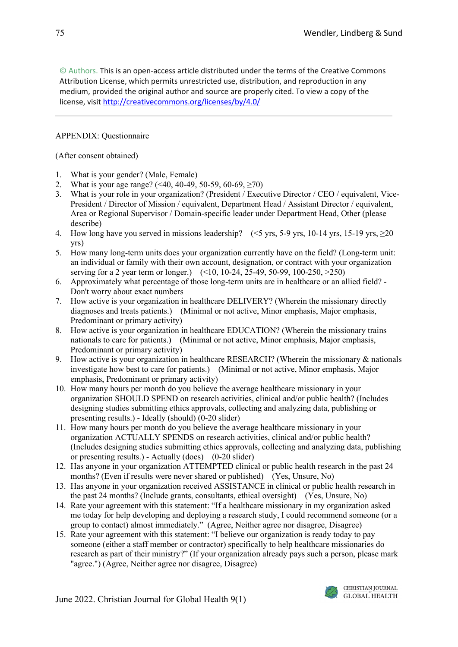© Authors. This is an open-access article distributed under the terms of the Creative Commons Attribution License, which permits unrestricted use, distribution, and reproduction in any medium, provided the original author and source are properly cited. To view a copy of the license, visit <http://creativecommons.org/licenses/by/4.0/>

# APPENDIX: Questionnaire

(After consent obtained)

- 1. What is your gender? (Male, Female)
- 2. What is your age range? (<40, 40-49, 50-59, 60-69, ≥70)
- 3. What is your role in your organization? (President / Executive Director / CEO / equivalent, Vice-President / Director of Mission / equivalent, Department Head / Assistant Director / equivalent, Area or Regional Supervisor / Domain-specific leader under Department Head, Other (please describe)
- 4. How long have you served in missions leadership? (<5 yrs, 5-9 yrs, 10-14 yrs, 15-19 yrs, ≥20 yrs)
- 5. How many long-term units does your organization currently have on the field? (Long-term unit: an individual or family with their own account, designation, or contract with your organization serving for a 2 year term or longer.) (<10, 10-24, 25-49, 50-99, 100-250, >250)
- 6. Approximately what percentage of those long-term units are in healthcare or an allied field? Don't worry about exact numbers
- 7. How active is your organization in healthcare DELIVERY? (Wherein the missionary directly diagnoses and treats patients.) (Minimal or not active, Minor emphasis, Major emphasis, Predominant or primary activity)
- 8. How active is your organization in healthcare EDUCATION? (Wherein the missionary trains nationals to care for patients.) (Minimal or not active, Minor emphasis, Major emphasis, Predominant or primary activity)
- 9. How active is your organization in healthcare RESEARCH? (Wherein the missionary & nationals investigate how best to care for patients.) (Minimal or not active, Minor emphasis, Major emphasis, Predominant or primary activity)
- 10. How many hours per month do you believe the average healthcare missionary in your organization SHOULD SPEND on research activities, clinical and/or public health? (Includes designing studies submitting ethics approvals, collecting and analyzing data, publishing or presenting results.) - Ideally (should) (0-20 slider)
- 11. How many hours per month do you believe the average healthcare missionary in your organization ACTUALLY SPENDS on research activities, clinical and/or public health? (Includes designing studies submitting ethics approvals, collecting and analyzing data, publishing or presenting results.) - Actually (does) (0-20 slider)
- 12. Has anyone in your organization ATTEMPTED clinical or public health research in the past 24 months? (Even if results were never shared or published) (Yes, Unsure, No)
- 13. Has anyone in your organization received ASSISTANCE in clinical or public health research in the past 24 months? (Include grants, consultants, ethical oversight) (Yes, Unsure, No)
- 14. Rate your agreement with this statement: "If a healthcare missionary in my organization asked me today for help developing and deploying a research study, I could recommend someone (or a group to contact) almost immediately." (Agree, Neither agree nor disagree, Disagree)
- 15. Rate your agreement with this statement: "I believe our organization is ready today to pay someone (either a staff member or contractor) specifically to help healthcare missionaries do research as part of their ministry?" (If your organization already pays such a person, please mark "agree.") (Agree, Neither agree nor disagree, Disagree)

June 2022. Christian Journal for Global Health 9(1)